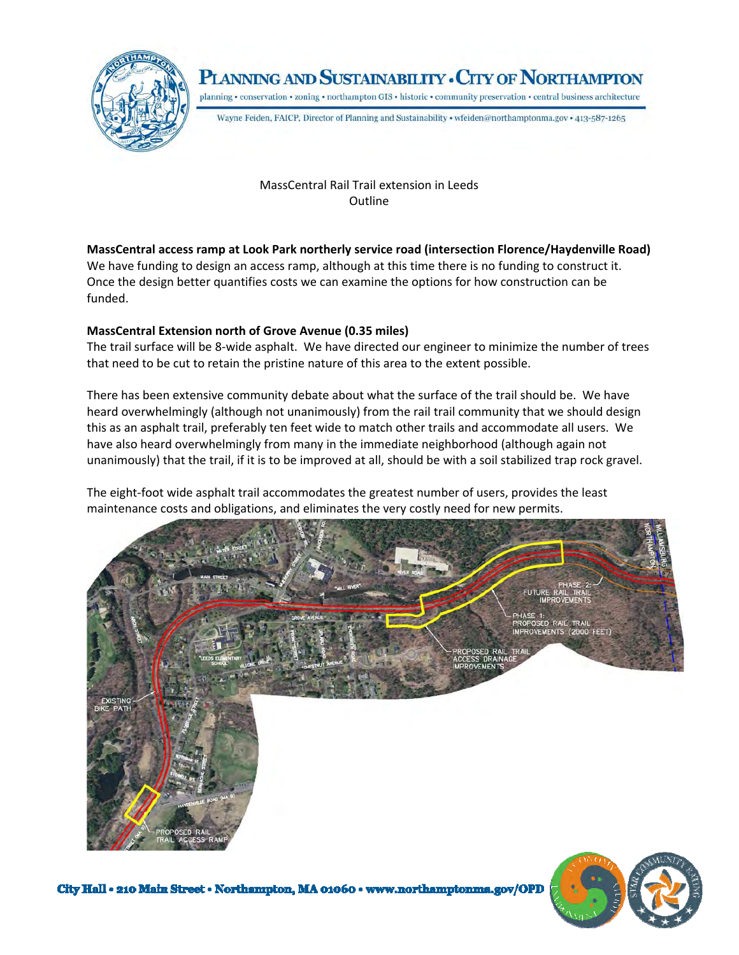

PLANNING AND SUSTAINABILITY . CITY OF NORTHAMPTON

planning - conservation - zoning - northampton GIS - historic - community preservation - central business architecture

Wayne Feiden, FAICP, Director of Planning and Sustainability · wfeiden@northamptonma.gov · 413-587-1265

MassCentral Rail Trail extension in Leeds **Outline** 

**MassCentral access ramp at Look Park northerly service road (intersection Florence/Haydenville Road)** We have funding to design an access ramp, although at this time there is no funding to construct it. Once the design better quantifies costs we can examine the options for how construction can be funded.

## **MassCentral Extension north of Grove Avenue (0.35 miles)**

The trail surface will be 8‐wide asphalt. We have directed our engineer to minimize the number of trees that need to be cut to retain the pristine nature of this area to the extent possible.

There has been extensive community debate about what the surface of the trail should be. We have heard overwhelmingly (although not unanimously) from the rail trail community that we should design this as an asphalt trail, preferably ten feet wide to match other trails and accommodate all users. We have also heard overwhelmingly from many in the immediate neighborhood (although again not unanimously) that the trail, if it is to be improved at all, should be with a soil stabilized trap rock gravel.

The eight-foot wide asphalt trail accommodates the greatest number of users, provides the least maintenance costs and obligations, and eliminates the very costly need for new permits.

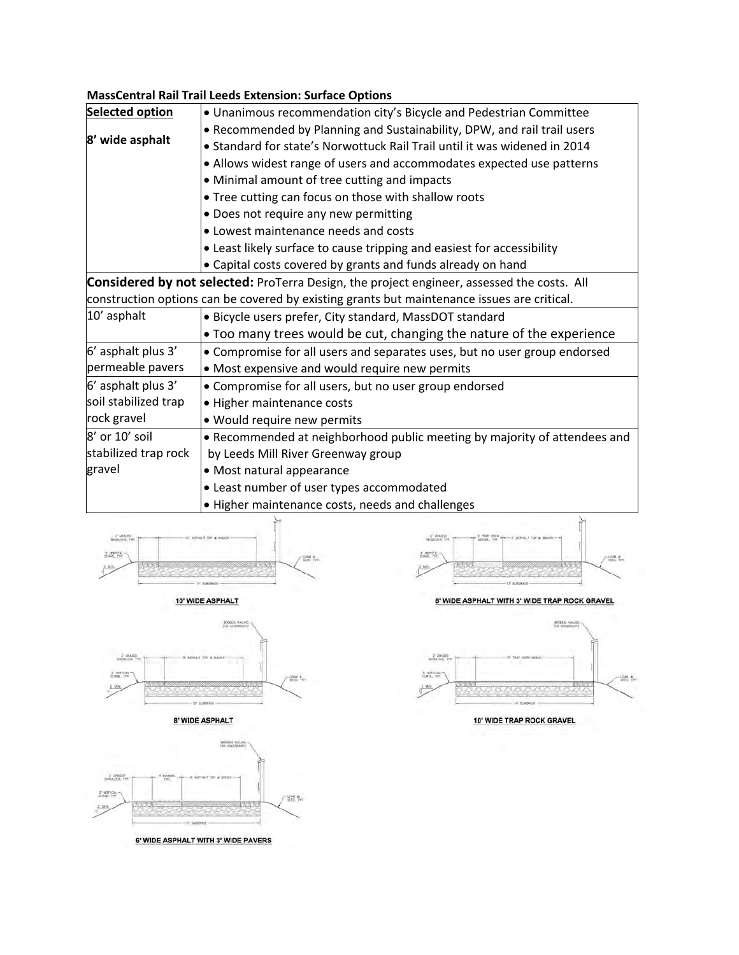| <b>MassCentral Rail Trail Leeds Extension: Surface Options</b> |  |
|----------------------------------------------------------------|--|
|----------------------------------------------------------------|--|

| <b>Selected option</b> | . Unanimous recommendation city's Bicycle and Pedestrian Committee                          |  |  |  |  |  |
|------------------------|---------------------------------------------------------------------------------------------|--|--|--|--|--|
|                        | • Recommended by Planning and Sustainability, DPW, and rail trail users                     |  |  |  |  |  |
| 8' wide asphalt        | • Standard for state's Norwottuck Rail Trail until it was widened in 2014                   |  |  |  |  |  |
|                        | • Allows widest range of users and accommodates expected use patterns                       |  |  |  |  |  |
|                        | • Minimal amount of tree cutting and impacts                                                |  |  |  |  |  |
|                        | . Tree cutting can focus on those with shallow roots                                        |  |  |  |  |  |
|                        | • Does not require any new permitting                                                       |  |  |  |  |  |
|                        | • Lowest maintenance needs and costs                                                        |  |  |  |  |  |
|                        | • Least likely surface to cause tripping and easiest for accessibility                      |  |  |  |  |  |
|                        | • Capital costs covered by grants and funds already on hand                                 |  |  |  |  |  |
|                        | Considered by not selected: ProTerra Design, the project engineer, assessed the costs. All  |  |  |  |  |  |
|                        | construction options can be covered by existing grants but maintenance issues are critical. |  |  |  |  |  |
| 10' asphalt            | · Bicycle users prefer, City standard, MassDOT standard                                     |  |  |  |  |  |
|                        | • Too many trees would be cut, changing the nature of the experience                        |  |  |  |  |  |
| 6' asphalt plus 3'     | • Compromise for all users and separates uses, but no user group endorsed                   |  |  |  |  |  |
| permeable pavers       | • Most expensive and would require new permits                                              |  |  |  |  |  |
| 6' asphalt plus 3'     | • Compromise for all users, but no user group endorsed                                      |  |  |  |  |  |
| soil stabilized trap   | • Higher maintenance costs                                                                  |  |  |  |  |  |
| rock gravel            | . Would require new permits                                                                 |  |  |  |  |  |
| 8' or 10' soil         | • Recommended at neighborhood public meeting by majority of attendees and                   |  |  |  |  |  |
| stabilized trap rock   | by Leeds Mill River Greenway group                                                          |  |  |  |  |  |
| gravel                 | • Most natural appearance                                                                   |  |  |  |  |  |
|                        | • Least number of user types accommodated                                                   |  |  |  |  |  |
|                        | • Higher maintenance costs, needs and challenges                                            |  |  |  |  |  |
|                        |                                                                                             |  |  |  |  |  |



10' WIDE ASPHALT



8' WIDE ASPHALT



6' WIDE ASPHALT WITH 3' WIDE PAVERS



6' WIDE ASPHALT WITH 3' WIDE TRAP ROCK GRAVEL



10' WIDE TRAP ROCK GRAVEL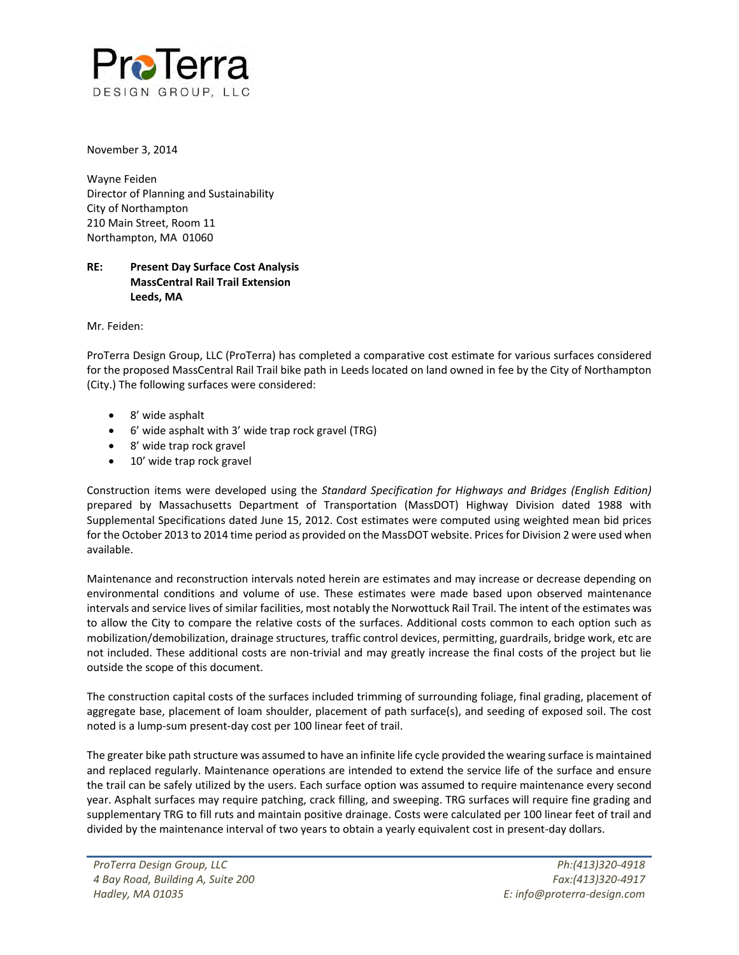

November 3, 2014

Wayne Feiden Director of Planning and Sustainability City of Northampton 210 Main Street, Room 11 Northampton, MA 01060

## **RE: Present Day Surface Cost Analysis MassCentral Rail Trail Extension Leeds, MA**

Mr. Feiden:

ProTerra Design Group, LLC (ProTerra) has completed a comparative cost estimate for various surfaces considered for the proposed MassCentral Rail Trail bike path in Leeds located on land owned in fee by the City of Northampton (City.) The following surfaces were considered:

- 8' wide asphalt
- 6' wide asphalt with 3' wide trap rock gravel (TRG)
- 8' wide trap rock gravel
- 10' wide trap rock gravel

Construction items were developed using the *Standard Specification for Highways and Bridges (English Edition)* prepared by Massachusetts Department of Transportation (MassDOT) Highway Division dated 1988 with Supplemental Specifications dated June 15, 2012. Cost estimates were computed using weighted mean bid prices for the October 2013 to 2014 time period as provided on the MassDOT website. Prices for Division 2 were used when available.

Maintenance and reconstruction intervals noted herein are estimates and may increase or decrease depending on environmental conditions and volume of use. These estimates were made based upon observed maintenance intervals and service lives of similar facilities, most notably the Norwottuck Rail Trail. The intent of the estimates was to allow the City to compare the relative costs of the surfaces. Additional costs common to each option such as mobilization/demobilization, drainage structures, traffic control devices, permitting, guardrails, bridge work, etc are not included. These additional costs are non-trivial and may greatly increase the final costs of the project but lie outside the scope of this document.

The construction capital costs of the surfaces included trimming of surrounding foliage, final grading, placement of aggregate base, placement of loam shoulder, placement of path surface(s), and seeding of exposed soil. The cost noted is a lump-sum present-day cost per 100 linear feet of trail.

The greater bike path structure was assumed to have an infinite life cycle provided the wearing surface is maintained and replaced regularly. Maintenance operations are intended to extend the service life of the surface and ensure the trail can be safely utilized by the users. Each surface option was assumed to require maintenance every second year. Asphalt surfaces may require patching, crack filling, and sweeping. TRG surfaces will require fine grading and supplementary TRG to fill ruts and maintain positive drainage. Costs were calculated per 100 linear feet of trail and divided by the maintenance interval of two years to obtain a yearly equivalent cost in present-day dollars.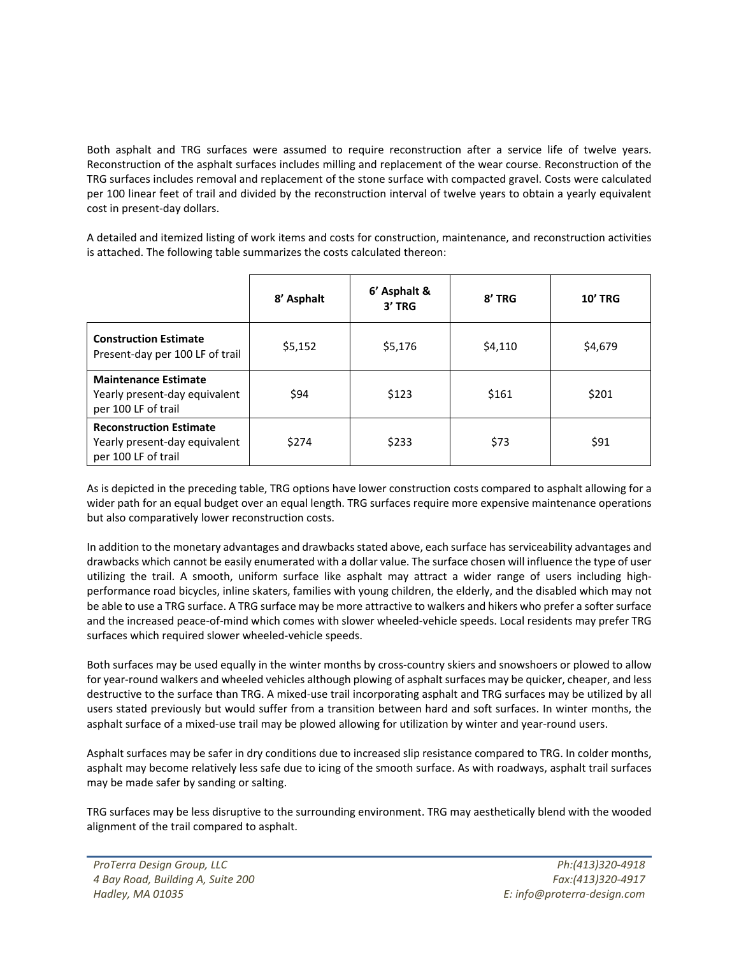Both asphalt and TRG surfaces were assumed to require reconstruction after a service life of twelve years. Reconstruction of the asphalt surfaces includes milling and replacement of the wear course. Reconstruction of the TRG surfaces includes removal and replacement of the stone surface with compacted gravel. Costs were calculated per 100 linear feet of trail and divided by the reconstruction interval of twelve years to obtain a yearly equivalent cost in present-day dollars.

A detailed and itemized listing of work items and costs for construction, maintenance, and reconstruction activities is attached. The following table summarizes the costs calculated thereon:

|                                                                                        | 8' Asphalt | 6' Asphalt &<br>3' TRG | 8' TRG  | <b>10' TRG</b> |
|----------------------------------------------------------------------------------------|------------|------------------------|---------|----------------|
| <b>Construction Estimate</b><br>Present-day per 100 LF of trail                        | \$5,152    | \$5,176                | \$4,110 | \$4,679        |
| <b>Maintenance Estimate</b><br>Yearly present-day equivalent<br>per 100 LF of trail    | \$94       | \$123                  | \$161   | \$201          |
| <b>Reconstruction Estimate</b><br>Yearly present-day equivalent<br>per 100 LF of trail | \$274      | \$233                  | \$73    | \$91           |

As is depicted in the preceding table, TRG options have lower construction costs compared to asphalt allowing for a wider path for an equal budget over an equal length. TRG surfaces require more expensive maintenance operations but also comparatively lower reconstruction costs.

In addition to the monetary advantages and drawbacks stated above, each surface has serviceability advantages and drawbacks which cannot be easily enumerated with a dollar value. The surface chosen will influence the type of user utilizing the trail. A smooth, uniform surface like asphalt may attract a wider range of users including highperformance road bicycles, inline skaters, families with young children, the elderly, and the disabled which may not be able to use a TRG surface. A TRG surface may be more attractive to walkers and hikers who prefer a softer surface and the increased peace-of-mind which comes with slower wheeled-vehicle speeds. Local residents may prefer TRG surfaces which required slower wheeled-vehicle speeds.

Both surfaces may be used equally in the winter months by cross-country skiers and snowshoers or plowed to allow for year-round walkers and wheeled vehicles although plowing of asphalt surfaces may be quicker, cheaper, and less destructive to the surface than TRG. A mixed-use trail incorporating asphalt and TRG surfaces may be utilized by all users stated previously but would suffer from a transition between hard and soft surfaces. In winter months, the asphalt surface of a mixed-use trail may be plowed allowing for utilization by winter and year-round users.

Asphalt surfaces may be safer in dry conditions due to increased slip resistance compared to TRG. In colder months, asphalt may become relatively less safe due to icing of the smooth surface. As with roadways, asphalt trail surfaces may be made safer by sanding or salting.

TRG surfaces may be less disruptive to the surrounding environment. TRG may aesthetically blend with the wooded alignment of the trail compared to asphalt.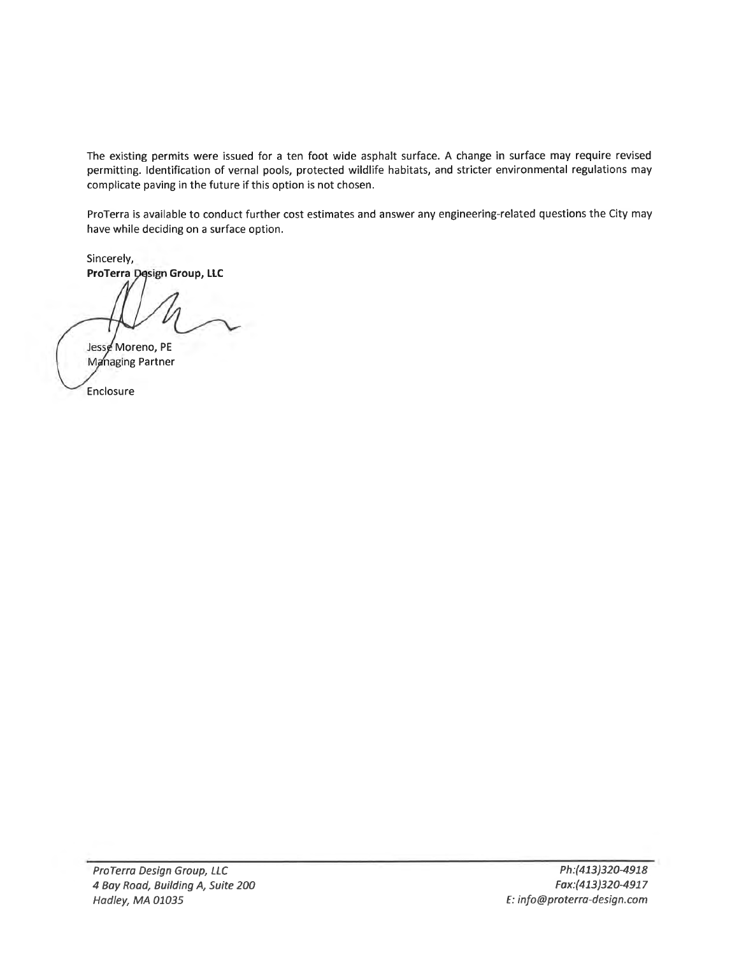The existing permits were issued for a ten foot wide asphalt surface. A change in surface may require revised permitting. Identification of vernal pools, protected wildlife habitats, and stricter environmental regulations may complicate paving in the future if this option is not chosen.

ProTerra is available to conduct further cost estimates and answer any engineering-related questions the City may have while deciding on a surface option.

Sincerely, ProTerra Dęsign Group, LLC

Jesse Moreno, PE Managing Partner

Enclosure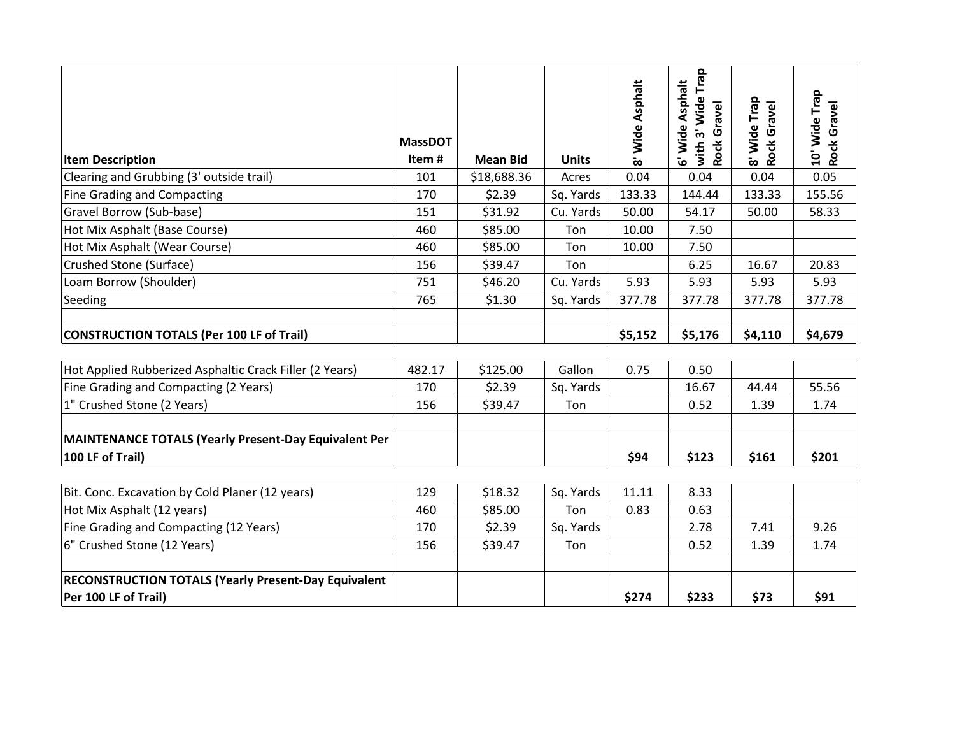| <b>Item Description</b>                                     | <b>MassDOT</b><br>Item# | <b>Mean Bid</b> | <b>Units</b> | 8' Wide Asphalt | Trap<br>6' Wide Asphalt<br>with 3' Wide<br>Rock Gravel | Wide Trap<br>Rock Gravel | 10' Wide Trap<br>Rock Gravel |
|-------------------------------------------------------------|-------------------------|-----------------|--------------|-----------------|--------------------------------------------------------|--------------------------|------------------------------|
| Clearing and Grubbing (3' outside trail)                    | 101                     | \$18,688.36     | Acres        | 0.04            | 0.04                                                   | $\bar{\infty}$<br>0.04   | 0.05                         |
| <b>Fine Grading and Compacting</b>                          | 170                     | \$2.39          | Sq. Yards    | 133.33          | 144.44                                                 | 133.33                   | 155.56                       |
| Gravel Borrow (Sub-base)                                    | 151                     | \$31.92         | Cu. Yards    | 50.00           | 54.17                                                  | 50.00                    | 58.33                        |
| Hot Mix Asphalt (Base Course)                               | 460                     | \$85.00         | Ton          | 10.00           | 7.50                                                   |                          |                              |
| Hot Mix Asphalt (Wear Course)                               | 460                     | \$85.00         | Ton          | 10.00           | 7.50                                                   |                          |                              |
| Crushed Stone (Surface)                                     | 156                     | \$39.47         | Ton          |                 | 6.25                                                   | 16.67                    | 20.83                        |
| Loam Borrow (Shoulder)                                      | 751                     | \$46.20         | Cu. Yards    | 5.93            | 5.93                                                   | 5.93                     | 5.93                         |
| Seeding                                                     | 765                     | \$1.30          | Sq. Yards    | 377.78          | 377.78                                                 | 377.78                   | 377.78                       |
|                                                             |                         |                 |              |                 |                                                        |                          |                              |
| <b>CONSTRUCTION TOTALS (Per 100 LF of Trail)</b>            |                         |                 |              | \$5,152         | \$5,176                                                | \$4,110                  | \$4,679                      |
|                                                             |                         |                 |              |                 |                                                        |                          |                              |
| Hot Applied Rubberized Asphaltic Crack Filler (2 Years)     | 482.17                  | \$125.00        | Gallon       | 0.75            | 0.50                                                   |                          |                              |
| Fine Grading and Compacting (2 Years)                       | 170                     | \$2.39          | Sq. Yards    |                 | 16.67                                                  | 44.44                    | 55.56                        |
| 1" Crushed Stone (2 Years)                                  | 156                     | \$39.47         | Ton          |                 | 0.52                                                   | 1.39                     | 1.74                         |
| MAINTENANCE TOTALS (Yearly Present-Day Equivalent Per       |                         |                 |              |                 |                                                        |                          |                              |
| 100 LF of Trail)                                            |                         |                 |              | \$94            | \$123                                                  | \$161                    | \$201                        |
|                                                             |                         |                 |              |                 |                                                        |                          |                              |
| Bit. Conc. Excavation by Cold Planer (12 years)             | 129                     | \$18.32         | Sq. Yards    | 11.11           | 8.33                                                   |                          |                              |
| Hot Mix Asphalt (12 years)                                  | 460                     | \$85.00         | Ton          | 0.83            | 0.63                                                   |                          |                              |
| Fine Grading and Compacting (12 Years)                      | 170                     | \$2.39          | Sq. Yards    |                 | 2.78                                                   | 7.41                     | 9.26                         |
| 6" Crushed Stone (12 Years)                                 | 156                     | \$39.47         | Ton          |                 | 0.52                                                   | 1.39                     | 1.74                         |
|                                                             |                         |                 |              |                 |                                                        |                          |                              |
| <b>RECONSTRUCTION TOTALS (Yearly Present-Day Equivalent</b> |                         |                 |              |                 |                                                        |                          |                              |
| Per 100 LF of Trail)                                        |                         |                 |              | \$274           | \$233                                                  | \$73                     | \$91                         |